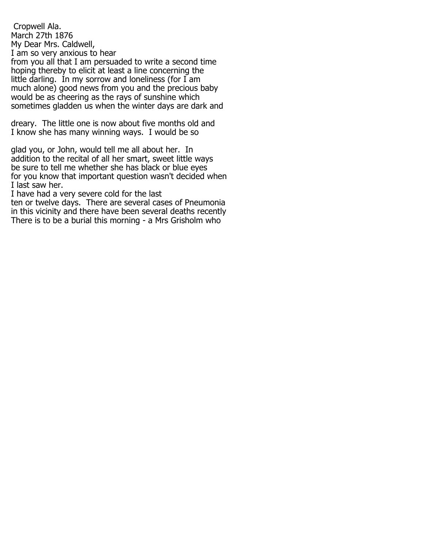Cropwell Ala. March 27th 1876 My Dear Mrs. Caldwell, I am so very anxious to hear from you all that I am persuaded to write a second time hoping thereby to elicit at least a line concerning the little darling. In my sorrow and loneliness (for I am much alone) good news from you and the precious baby would be as cheering as the rays of sunshine which sometimes gladden us when the winter days are dark and

dreary. The little one is now about five months old and I know she has many winning ways. I would be so

glad you, or John, would tell me all about her. In addition to the recital of all her smart, sweet little ways be sure to tell me whether she has black or blue eyes for you know that important question wasn't decided when I last saw her.

I have had a very severe cold for the last ten or twelve days. There are several cases of Pneumonia in this vicinity and there have been several deaths recently There is to be a burial this morning - a Mrs Grisholm who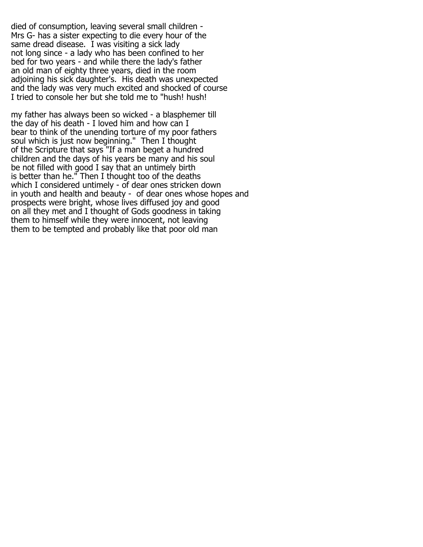died of consumption, leaving several small children - Mrs G- has a sister expecting to die every hour of the same dread disease. I was visiting a sick lady not long since - a lady who has been confined to her bed for two years - and while there the lady's father an old man of eighty three years, died in the room adjoining his sick daughter's. His death was unexpected and the lady was very much excited and shocked of course I tried to console her but she told me to "hush! hush!

my father has always been so wicked - a blasphemer till the day of his death - I loved him and how can I bear to think of the unending torture of my poor fathers soul which is just now beginning." Then I thought of the Scripture that says "If a man beget a hundred children and the days of his years be many and his soul be not filled with good I say that an untimely birth is better than he." Then I thought too of the deaths which I considered untimely - of dear ones stricken down in youth and health and beauty - of dear ones whose hopes and prospects were bright, whose lives diffused joy and good on all they met and I thought of Gods goodness in taking them to himself while they were innocent, not leaving them to be tempted and probably like that poor old man